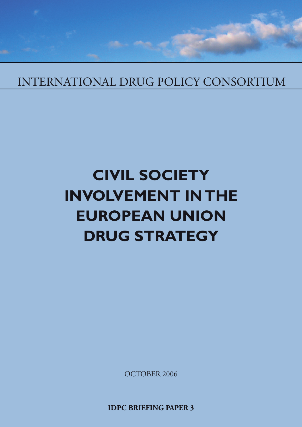# INTERNATIONAL DRUG POLICY CONSORTIUM

# **CIVIL SOCIETY INVOLVEMENT IN THE EUROPEAN UNION DRUG STRATEGY**

OCTOBER 2006

**IDPC BRIEFING PAPER 3**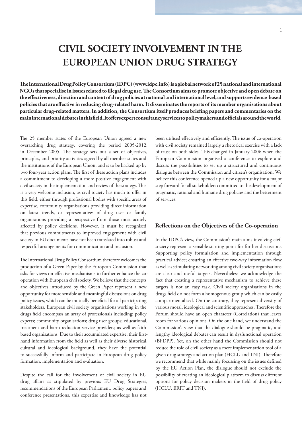## **CIVIL SOCIETY INVOLVEMENT IN THE EUROPEAN UNION DRUG STRATEGY**

The International Drug Policy Consortium (IDPC) (www.idpc.info) is a global network of 25 national and international NGOs that specialise in issues related to illegal drug use. The Consortium aims to promote objective and open debate on the effectiveness, direction and content of drug policies at national and international level, and supports evidence-based policies that are effective in reducing drug-related harm. It disseminates the reports of its member organisations about particular drug-related matters. In addition, the Consortium itself produces briefing papers and commentaries on the **main international debates in this fi eld. It off ers expert consultancy services to policymakers and offi cials around the world.**

The 25 member states of the European Union agreed a new overarching drug strategy, covering the period 2005-2012, in December 2005. The strategy sets out a set of objectives, principles, and priority activities agreed by all member states and the institutions of the European Union, and is to be backed up by two four-year action plans. The first of these action plans includes a commitment to developing a more positive engagement with civil society in the implementation and review of the strategy. This is a very welcome inclusion, as civil society has much to offer in this field, either through professional bodies with specific areas of expertise, community organisations providing direct information on latest trends, or representatives of drug user or family organisations providing a perspective from those most acutely affected by policy decisions. However, it must be recognised that previous commitments to improved engagement with civil society in EU documents have not been translated into robust and respectful arrangements for communication and inclusion.

The International Drug Policy Consortium therefore welcomes the production of a Green Paper by the European Commission that asks for views on effective mechanisms to further enhance the cooperation with European civil society. We believe that the concepts and objectives introduced by the Green Paper represent a new opportunity for more sensible and meaningful discussions on drug policy issues, which can be mutually beneficial for all participating stakeholders. European civil society organisations working in the drugs field encompass an array of professionals including: policy experts; community organisations; drug user groups; educational, treatment and harm reduction service providers; as well as faithbased organisations. Due to their accumulated expertise, their firsthand information from the field as well as their diverse historical, cultural and ideological background, they have the potential to successfully inform and participate in European drug policy formation, implementation and evaluation.

Despite the call for the involvement of civil society in EU drug affairs as stipulated by previous EU Drug Strategies, recommendations of the European Parliament, policy papers and conference presentations, this expertise and knowledge has not

been utilised effectively and efficiently. The issue of co-operation with civil society remained largely a rhetorical exercise with a lack of trust on both sides. This changed in January 2006 when the European Commission organised a conference to explore and discuss the possibilities to set up a structured and continuous dialogue between the Commission and citizen's organisation. We believe this conference opened up a new opportunity for a major step forward for all stakeholders committed to the development of pragmatic, rational and humane drug policies and the betterment of services.

### **Refl ections on the Objectives of the Co-operation**

In the IDPC's view, the Commission's main aims involving civil society represent a sensible starting point for further discussions. Supporting policy formulation and implementation through practical advice; ensuring an effective two-way information flow, as well as stimulating networking among civil society organisations are clear and useful targets. Nevertheless we acknowledge the fact that creating a representative mechanism to achieve these targets is not an easy task. Civil society organisations in the drugs field do not form a homogenous group which can be easily compartmentalised. On the contrary, they represent diversity of various moral, ideological and scientific approaches. Therefore the Forum should have an open character (Correlation) that leaves room for various opinions. On the one hand, we understand the Commission's view that the dialogue should be pragmatic, and lengthy ideological debates can result in dysfunctional operation (BFDPP). Yet, on the other hand the Commission should not reduce the role of civil society as a mere implementation tool of a given drug strategy and action plan (HCLU and TNI). Therefore we recommend that while mainly focussing on the issues defined by the EU Action Plan, the dialogue should not exclude the possibility of creating an ideological platform to discuss different options for policy decision makers in the field of drug policy (HCLU, ERIT and TNI).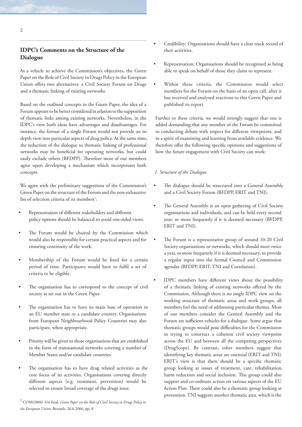## **IDPC's Comments on the Structure of the Dialogue**

As a vehicle to achieve the Commission's objectives, the Green Paper on the Role of Civil Society in Drugs Policy in the European Union offers two alternatives: a Civil Society Forum on Drugs and a thematic linking of existing networks.

Based on the outlined concepts in the Green Paper, the idea of a Forum appears to be better considered in relation to the supposition of thematic links among existing networks. Nevertheless, in the IDPC's view both ideas have advantages and disadvantages. For instance, the format of a single Forum would not provide an indepth view into particular aspects of drug policy. At the same time, the reduction of the dialogue to thematic linking of professional networks may be beneficial for operating networks, but could easily exclude others (BFDPP). Therefore most of our members agree upon developing a mechanism which incorporates both concepts.

We agree with the preliminary suggestions of the Commission's Green Paper on the structure of the Forum and the non-exhaustive list of selection criteria of its members<sup>1</sup>:

- Representation of different stakeholders and different policy options should be balanced to avoid one-sided views.
- The Forum would be chaired by the Commission which would also be responsible for certain practical aspects and for ensuring continuity of the work.
- Membership of the Forum would be fixed for a certain period of time. Participants would have to fulfil a set of criteria to be eligible.
- The organisation has to correspond to the concept of civil society as set out in the Green Paper.
- The organisation has to have its main base of operation in an EU member state or a candidate country. Organisations from European Neighbourhood Policy Countries may also participate, when appropriate.
- Priority will be given to those organisations that are established in the form of transnational networks covering a number of Member States and/or candidate countries.
- The organisation has to have drug related activities as the core focus of its activities. Organisations covering directly different aspects (e.g. treatment, prevention) would be selected to ensure broad coverage of the drugs issue.

 $^1$  COM(2006) 316 final, *Green Paper on the Role of Civil Society in Drugs Policy in the European Union*. Brussels, 26.6.2006, pp. 8

- Credibility: Organisations should have a clear track record of their activities.
- Representation: Organisations should be recognised as being able to speak on behalf of those they claim to represent.
- Within these criteria, the Commission would select members for the Forum on the basis of an open call, after it has received and analysed reactions to this Green Paper and published its report.

Further to these criteria, we would strongly suggest that one is added demanding that any member of the Forum be committed to conducting debate with respect for different viewpoints, and in a spirit of examining and learning from available evidence. We therefore offer the following specific opinions and suggestions of how the future engagement with Civil Society can work:

#### *1. Structure of the Dialogue*

- The dialogue should be structured into a General Assembly and a Civil Society Forum (BFDPP, ERIT and TNI).
- The General Assembly is an open gathering of Civil Society organisations and individuals, and can be held every second year, or more frequently if it is deemed necessary (BFDPP, ERIT and TNI).
- The Forum is a representative group of around 10-20 Civil Society organisations or networks, which should meet twice a year, or more frequently if it is deemed necessary, to provide a regular input into the formal Council and Commission agendas (BFDPP, ERIT, TNI and Correlation).
- IDPC members have different views about the possibility of a thematic linking of existing networks offered by the Commission. Although there is no single IDPC view on the working structure of thematic areas and work groups, all members feel the need of addressing particular themes. Most of our members consider the General Assembly and the Forum are sufficient vehicles for a dialogue. Some argue that thematic groups would pose difficulties for the Commission in trying to construct a coherent civil society viewpoint across the EU and between all the competing perspectives (DrugScope). By contrast, other members suggest that identifying key thematic areas are essential (ERIT and TNI). ERIT's view is that there should be a specific thematic group looking at issues of treatment, care, rehabilitation, harm reduction and social inclusion. This group could also support and co-ordinate action on various aspects of the EU Action Plan. There could also be a thematic group looking at prevention. TNI suggests another thematic area, which is the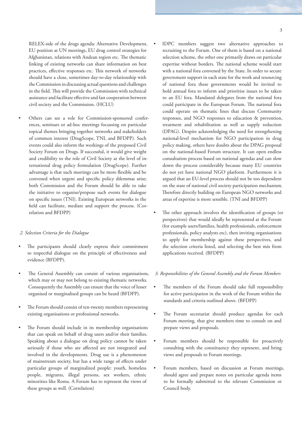RELEX-side of the drugs agenda: Alternative Development, EU position at UN meetings, EU drug control strategies for Afghanistan, relations with Andean region etc. The thematic linking of existing networks can share information on best practices, effective responses etc. This network of networks should have a close, sometimes day-to-day relationship with the Commission in discussing actual questions and challenges in the field. This will provide the Commission with technical assistance and facilitate effective and fast cooperation between civil society and the Commission. (HCLU)

Others can see a role for Commission-sponsored conferences, seminars or ad-hoc meetings focussing on particular topical themes bringing together networks and stakeholders of common interest (DrugScope, TNI, and BFDPP). Such events could also inform the workings of the proposed Civil Society Forum on Drugs. If successful, it would give weight and credibility to the role of Civil Society at the level of international drug policy formulation (DrugScope). Further advantage is that such meetings can be more flexible and be convened when urgent and specific policy dilemmas arise; both Commission and the Forum should be able to take the initiative to organise/propose such events for dialogue on specific issues (TNI). Existing European networks in the field can facilitate, mediate and support the process. (Correlation and BFDPP)

#### *2. Selection Criteria for the Dialogue*

- The participants should clearly express their commitment to respectful dialogue on the principle of effectiveness and evidence (BFDPP).
- The General Assembly can consist of various organisations, which may or may not belong to existing thematic networks. Consequently the Assembly can ensure that the voice of lesser organised or marginalised groups can be heard (BFDPP).
- The Forum should consist of ten-twenty members representing existing organisations or professional networks.
- The Forum should include in its membership organisations that can speak on behalf of drug users and/or their families. Speaking about a dialogue on drug policy cannot be taken seriously if those who are affected are not integrated and involved in the developments. Drug use is a phenomenon of mainstream society, but has a wide range of effects under particular groups of marginalized people: youth, homeless people, migrants, illegal persons, sex workers, ethnic minorities like Roma. A Forum has to represent the views of these groups as well. (Correlation)
- IDPC members suggest two alternative approaches to recruiting to the Forum. One of them is based on a national selection scheme, the other one primarily draws on particular expertise without borders. The national scheme would start with a national fora convened by the State. In order to secure government support in each state for the work and resourcing of national fora these governments would be invited to hold annual fora to inform and prioritise issues to be taken to an EU fora. Mandated delegates from the national fora could participate in the European Forum. The national fora could operate on thematic lines that discuss Community responses, and NGO responses to education & prevention, treatment and rehabilitation as well as supply reduction (DPAG). Despite acknowledging the need for strengthening national-level mechanism for NGO participation in drug policy making, others have doubts about the DPAG proposal on the national-based Forum structure. It can open endless consultation process based on national agendas and can slow down the process considerably because many EU countries do not yet have national NGO platform. Furthermore it is argued that an EU-level process should not be too dependent on the state of national civil society participation mechanism. Therefore directly building on European NGO networks and areas of expertise is more sensible. (TNI and BFDPP)
- The other approach involves the identification of groups (or perspectives) that would ideally be represented at the Forum (for example users/families, health professionals, enforcement professionals, policy analysts etc), then inviting organisations to apply for membership against these perspectives, and the selection criteria listed, and selecting the best mix from applications received. (BFDPP)

#### *3. Responsibilities of the General Assembly and the Forum Members*

- The members of the Forum should take full responsibility for active participation in the work of the Forum within the standards and criteria outlined above. (BFDPP)
- The Forum secretariat should produce agendas for each Forum meeting, that give members time to consult on and prepare views and proposals.
- Forum members should be responsible for proactively consulting with the constituency they represent, and bring views and proposals to Forum meetings.
- Forum members, based on discussion at Forum meetings, should agree and prepare notes on particular agenda items to be formally submitted to the relevant Commission or Council body.